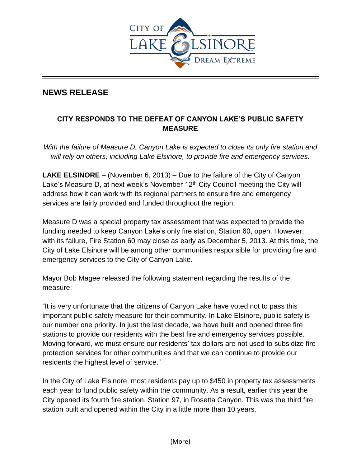

## **NEWS RELEASE**

## **CITY RESPONDS TO THE DEFEAT OF CANYON LAKE'S PUBLIC SAFETY MEASURE**

*With the failure of Measure D, Canyon Lake is expected to close its only fire station and will rely on others, including Lake Elsinore, to provide fire and emergency services.*

**LAKE ELSINORE** – (November 6, 2013) – Due to the failure of the City of Canyon Lake's Measure D, at next week's November  $12<sup>th</sup>$  City Council meeting the City will address how it can work with its regional partners to ensure fire and emergency services are fairly provided and funded throughout the region.

Measure D was a special property tax assessment that was expected to provide the funding needed to keep Canyon Lake's only fire station, Station 60, open. However, with its failure, Fire Station 60 may close as early as December 5, 2013. At this time, the City of Lake Elsinore will be among other communities responsible for providing fire and emergency services to the City of Canyon Lake.

Mayor Bob Magee released the following statement regarding the results of the measure:

"It is very unfortunate that the citizens of Canyon Lake have voted not to pass this important public safety measure for their community. In Lake Elsinore, public safety is our number one priority. In just the last decade, we have built and opened three fire stations to provide our residents with the best fire and emergency services possible. Moving forward, we must ensure our residents' tax dollars are not used to subsidize fire protection services for other communities and that we can continue to provide our residents the highest level of service."

In the City of Lake Elsinore, most residents pay up to \$450 in property tax assessments each year to fund public safety within the community. As a result, earlier this year the City opened its fourth fire station, Station 97, in Rosetta Canyon. This was the third fire station built and opened within the City in a little more than 10 years.